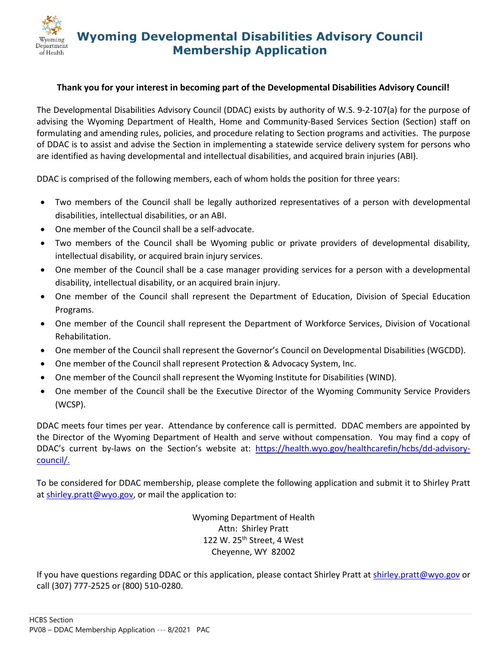

## **Wyoming Developmental Disabilities Advisory Council Membership Application**

## **Thank you for your interest in becoming part of the Developmental Disabilities Advisory Council!**

The Developmental Disabilities Advisory Council (DDAC) exists by authority of W.S. 9-2-107(a) for the purpose of advising the Wyoming Department of Health, Home and Community-Based Services Section (Section) staff on formulating and amending rules, policies, and procedure relating to Section programs and activities. The purpose of DDAC is to assist and advise the Section in implementing a statewide service delivery system for persons who are identified as having developmental and intellectual disabilities, and acquired brain injuries (ABI).

DDAC is comprised of the following members, each of whom holds the position for three years:

- Two members of the Council shall be legally authorized representatives of a person with developmental disabilities, intellectual disabilities, or an ABI.
- One member of the Council shall be a self-advocate.
- Two members of the Council shall be Wyoming public or private providers of developmental disability, intellectual disability, or acquired brain injury services.
- One member of the Council shall be a case manager providing services for a person with a developmental disability, intellectual disability, or an acquired brain injury.
- One member of the Council shall represent the Department of Education, Division of Special Education Programs.
- One member of the Council shall represent the Department of Workforce Services, Division of Vocational Rehabilitation.
- One member of the Council shall represent the Governor's Council on Developmental Disabilities (WGCDD).
- One member of the Council shall represent Protection & Advocacy System, Inc.
- One member of the Council shall represent the Wyoming Institute for Disabilities (WIND).
- One member of the Council shall be the Executive Director of the Wyoming Community Service Providers (WCSP).

DDAC meets four times per year. Attendance by conference call is permitted. DDAC members are appointed by the Director of the Wyoming Department of Health and serve without compensation. You may find a copy of DDAC's current by-laws on the Section's website at: [https://health.wyo.gov/healthcarefin/hcbs/dd-advisory](https://health.wyo.gov/healthcarefin/hcbs/dd-advisory-council/)[council/.](https://health.wyo.gov/healthcarefin/hcbs/dd-advisory-council/)

To be considered for DDAC membership, please complete the following application and submit it to Shirley Pratt at [shirley.pratt@wyo.gov,](mailto:shirley.pratt@wyo.gov) or mail the application to:

> Wyoming Department of Health Attn: Shirley Pratt 122 W. 25<sup>th</sup> Street, 4 West Cheyenne, WY 82002

If you have questions regarding DDAC or this application, please contact Shirley Pratt at [shirley.pratt@wyo.gov](mailto:shirley.pratt@wyo.gov) or call (307) 777-2525 or (800) 510-0280.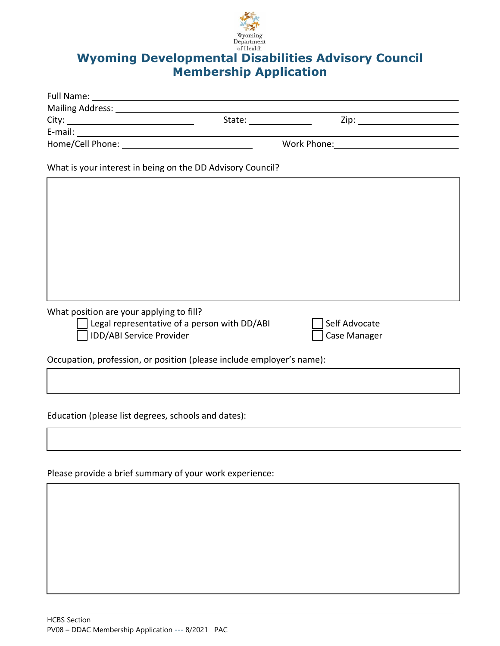

## **Wyoming Developmental Disabilities Advisory Council**<br>Wyoming Developmental Disabilities Advisory Council **Membership Application**

| Mailing Address: Mailing Address: |                                              |                                                                                     |
|-----------------------------------|----------------------------------------------|-------------------------------------------------------------------------------------|
|                                   |                                              |                                                                                     |
|                                   |                                              |                                                                                     |
|                                   | Work Phone: <u>_________________________</u> |                                                                                     |
|                                   |                                              |                                                                                     |
|                                   |                                              | State: <u>_______</u><br>What is your interest in being on the DD Advisory Council? |

What position are your applying to fill?

Legal representative of a person with  $DD/ABI$   $\Box$  Self Advocate

IDD/ABI Service Provider Case Manager

Occupation, profession, or position (please include employer's name):

Education (please list degrees, schools and dates):

Please provide a brief summary of your work experience: